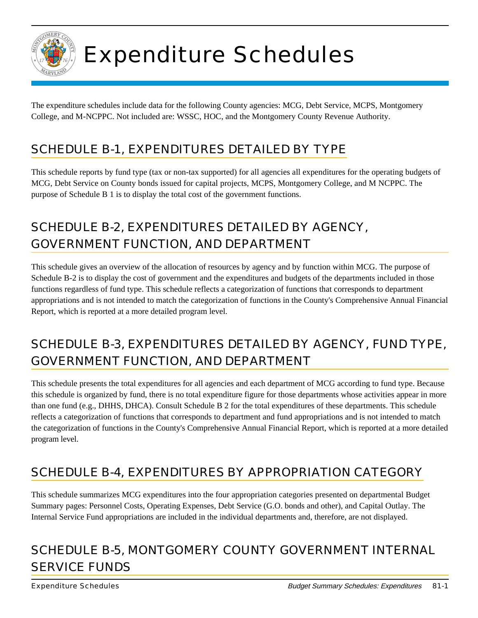

Expenditure Schedules

The expenditure schedules include data for the following County agencies: MCG, Debt Service, MCPS, Montgomery College, and M-NCPPC. Not included are: WSSC, HOC, and the Montgomery County Revenue Authority.

## SCHEDULE B-1, EXPENDITURES DETAILED BY TYPE

This schedule reports by fund type (tax or non-tax supported) for all agencies all expenditures for the operating budgets of MCG, Debt Service on County bonds issued for capital projects, MCPS, Montgomery College, and M NCPPC. The purpose of Schedule B 1 is to display the total cost of the government functions.

# SCHEDULE B-2, EXPENDITURES DETAILED BY AGENCY, GOVERNMENT FUNCTION, AND DEPARTMENT

This schedule gives an overview of the allocation of resources by agency and by function within MCG. The purpose of Schedule B-2 is to display the cost of government and the expenditures and budgets of the departments included in those functions regardless of fund type. This schedule reflects a categorization of functions that corresponds to department appropriations and is not intended to match the categorization of functions in the County's Comprehensive Annual Financial Report, which is reported at a more detailed program level.

# SCHEDULE B-3, EXPENDITURES DETAILED BY AGENCY, FUND TYPE, GOVERNMENT FUNCTION, AND DEPARTMENT

This schedule presents the total expenditures for all agencies and each department of MCG according to fund type. Because this schedule is organized by fund, there is no total expenditure figure for those departments whose activities appear in more than one fund (e.g., DHHS, DHCA). Consult Schedule B 2 for the total expenditures of these departments. This schedule reflects a categorization of functions that corresponds to department and fund appropriations and is not intended to match the categorization of functions in the County's Comprehensive Annual Financial Report, which is reported at a more detailed program level.

## SCHEDULE B-4, EXPENDITURES BY APPROPRIATION CATEGORY

This schedule summarizes MCG expenditures into the four appropriation categories presented on departmental Budget Summary pages: Personnel Costs, Operating Expenses, Debt Service (G.O. bonds and other), and Capital Outlay. The Internal Service Fund appropriations are included in the individual departments and, therefore, are not displayed.

## SCHEDULE B-5, MONTGOMERY COUNTY GOVERNMENT INTERNAL SERVICE FUNDS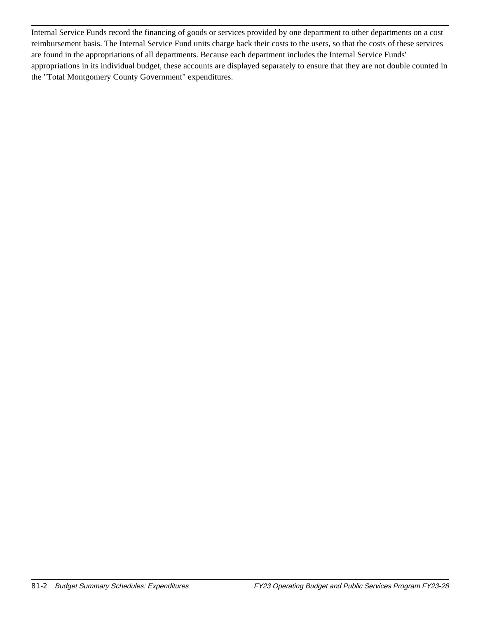Internal Service Funds record the financing of goods or services provided by one department to other departments on a cost reimbursement basis. The Internal Service Fund units charge back their costs to the users, so that the costs of these services are found in the appropriations of all departments. Because each department includes the Internal Service Funds' appropriations in its individual budget, these accounts are displayed separately to ensure that they are not double counted in the "Total Montgomery County Government" expenditures.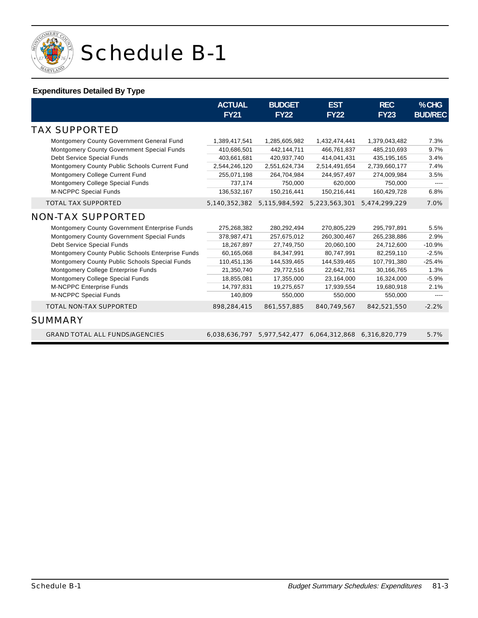

### **Expenditures Detailed By Type**

|                                                                                                                                                                                                                                                                                                                                                                                | <b>ACTUAL</b><br><b>FY21</b>                                                                                               | <b>BUDGET</b><br><b>FY22</b>                                                                                               | <b>EST</b><br><b>FY22</b>                                                                                                  | <b>REC</b><br><b>FY23</b>                                                                                                  | %CHG<br><b>BUD/REC</b>                                                     |
|--------------------------------------------------------------------------------------------------------------------------------------------------------------------------------------------------------------------------------------------------------------------------------------------------------------------------------------------------------------------------------|----------------------------------------------------------------------------------------------------------------------------|----------------------------------------------------------------------------------------------------------------------------|----------------------------------------------------------------------------------------------------------------------------|----------------------------------------------------------------------------------------------------------------------------|----------------------------------------------------------------------------|
| TAX SUPPORTED                                                                                                                                                                                                                                                                                                                                                                  |                                                                                                                            |                                                                                                                            |                                                                                                                            |                                                                                                                            |                                                                            |
| Montgomery County Government General Fund<br>Montgomery County Government Special Funds<br>Debt Service Special Funds<br>Montgomery County Public Schools Current Fund<br>Montgomery College Current Fund<br>Montgomery College Special Funds<br><b>M-NCPPC Special Funds</b>                                                                                                  | 1,389,417,541<br>410,686,501<br>403,661,681<br>2,544,246,120<br>255,071,198<br>737,174<br>136,532,167                      | 1,285,605,982<br>442,144,711<br>420,937,740<br>2,551,624,734<br>264,704,984<br>750,000<br>150,216,441                      | 1,432,474,441<br>466,761,837<br>414,041,431<br>2,514,491,654<br>244,957,497<br>620,000<br>150,216,441                      | 1,379,043,482<br>485,210,693<br>435,195,165<br>2,739,660,177<br>274,009,984<br>750,000<br>160,429,728                      | 7.3%<br>9.7%<br>3.4%<br>7.4%<br>3.5%<br>6.8%                               |
| <b>TOTAL TAX SUPPORTED</b>                                                                                                                                                                                                                                                                                                                                                     | 5,140,352,382                                                                                                              | 5,115,984,592 5,223,563,301                                                                                                |                                                                                                                            | 5,474,299,229                                                                                                              | 7.0%                                                                       |
| <b>NON-TAX SUPPORTED</b>                                                                                                                                                                                                                                                                                                                                                       |                                                                                                                            |                                                                                                                            |                                                                                                                            |                                                                                                                            |                                                                            |
| Montgomery County Government Enterprise Funds<br>Montgomery County Government Special Funds<br>Debt Service Special Funds<br>Montgomery County Public Schools Enterprise Funds<br>Montgomery County Public Schools Special Funds<br>Montgomery College Enterprise Funds<br>Montgomery College Special Funds<br><b>M-NCPPC Enterprise Funds</b><br><b>M-NCPPC Special Funds</b> | 275,268,382<br>378,987,471<br>18,267,897<br>60,165,068<br>110,451,136<br>21,350,740<br>18,855,081<br>14,797,831<br>140,809 | 280,292,494<br>257,675,012<br>27,749,750<br>84,347,991<br>144,539,465<br>29,772,516<br>17,355,000<br>19,275,657<br>550,000 | 270,805,229<br>260,300,467<br>20,060,100<br>80,747,991<br>144,539,465<br>22,642,761<br>23,164,000<br>17,939,554<br>550,000 | 295,797,891<br>265,238,886<br>24,712,600<br>82,259,110<br>107,791,380<br>30,166,765<br>16,324,000<br>19,680,918<br>550,000 | 5.5%<br>2.9%<br>$-10.9%$<br>$-2.5%$<br>$-25.4%$<br>1.3%<br>$-5.9%$<br>2.1% |
| <b>TOTAL NON-TAX SUPPORTED</b>                                                                                                                                                                                                                                                                                                                                                 | 898,284,415                                                                                                                | 861,557,885                                                                                                                | 840,749,567                                                                                                                | 842,521,550                                                                                                                | $-2.2%$                                                                    |
| <b>SUMMARY</b>                                                                                                                                                                                                                                                                                                                                                                 |                                                                                                                            |                                                                                                                            |                                                                                                                            |                                                                                                                            |                                                                            |
| <b>GRAND TOTAL ALL FUNDS/AGENCIES</b>                                                                                                                                                                                                                                                                                                                                          | 6,038,636,797                                                                                                              | 5,977,542,477                                                                                                              | 6,064,312,868 6,316,820,779                                                                                                |                                                                                                                            | 5.7%                                                                       |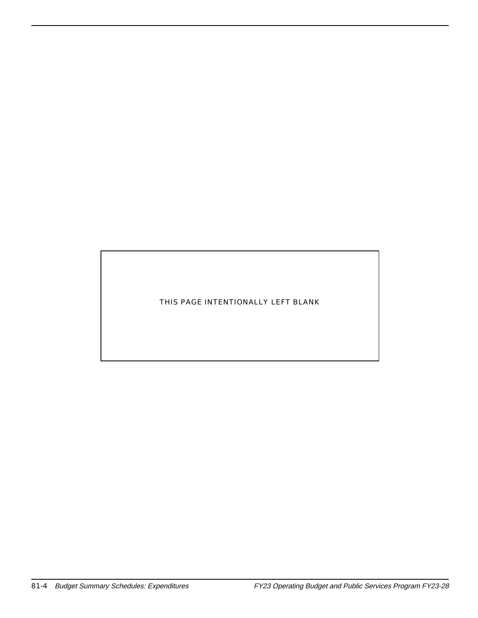THIS PAGE INTENTIONALLY LEFT BLANK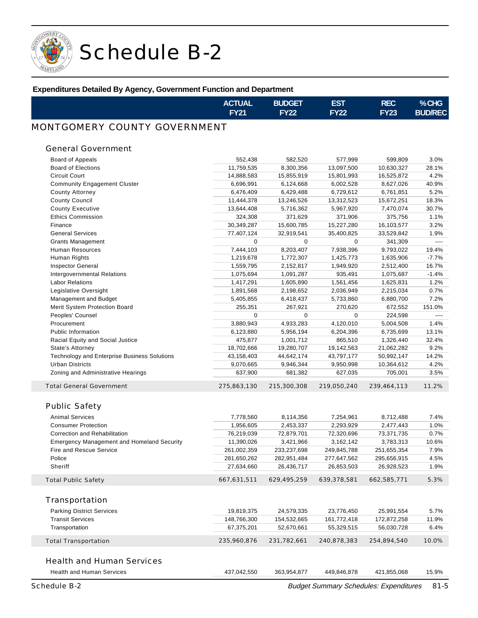

#### **Expenditures Detailed By Agency, Government Function and Department**

| MONTGOMERY COUNTY GOVERNMENT<br><b>General Government</b><br>Board of Appeals<br>552,438<br>582,520<br>577,999<br>3.0%<br>599,809<br><b>Board of Elections</b><br>11,759,535<br>8,300,356<br>13,097,500<br>10,630,327<br>28.1%<br><b>Circuit Court</b><br>14,888,583<br>15,855,919<br>15,801,993<br>16,525,872<br>4.2%<br><b>Community Engagement Cluster</b><br>6,696,991<br>6,124,668<br>6,002,528<br>8,627,026<br>40.9%<br><b>County Attorney</b><br>6,476,409<br>6,729,612<br>6,761,851<br>5.2%<br>6,429,488<br><b>County Council</b><br>11,444,378<br>18.3%<br>13,246,526<br>13,312,523<br>15,672,251<br>30.7%<br><b>County Executive</b><br>13,644,408<br>5,716,362<br>5,967,920<br>7,470,074<br><b>Ethics Commission</b><br>324,308<br>371,629<br>371,906<br>375,756<br>1.1%<br>Finance<br>30,349,287<br>15,227,280<br>16,103,577<br>3.2%<br>15,600,785<br><b>General Services</b><br>77,407,124<br>32,919,541<br>35,400,825<br>1.9%<br>33,529,842<br>$\mathbf 0$<br>$\mathbf 0$<br>$\mathbf 0$<br>341,309<br><b>Grants Management</b><br>$---$<br>Human Resources<br>7,444,103<br>8,203,407<br>7,938,396<br>9,793,022<br>19.4%<br>$-7.7%$<br>Human Rights<br>1,219,678<br>1,772,307<br>1,425,773<br>1,635,906<br><b>Inspector General</b><br>1,559,795<br>1,949,920<br>16.7%<br>2,152,817<br>2,512,400<br>$-1.4%$<br>Intergovernmental Relations<br>1,075,694<br>1,091,287<br>935,491<br>1,075,687<br><b>Labor Relations</b><br>1,417,291<br>1,605,890<br>1,561,456<br>1,625,831<br>1.2%<br>Legislative Oversight<br>1,891,568<br>2,036,949<br>2,215,034<br>0.7%<br>2,198,652<br>Management and Budget<br>5,733,860<br>7.2%<br>5,405,855<br>6,418,437<br>6,880,700<br>Merit System Protection Board<br>255,351<br>267,921<br>270,620<br>672,552<br>151.0%<br>0<br>$\mathbf 0$<br>$\mathbf 0$<br>Peoples' Counsel<br>224,598<br>$---$<br>Procurement<br>3,880,943<br>4,933,283<br>4,120,010<br>5,004,508<br>1.4%<br><b>Public Information</b><br>6,123,880<br>6,204,396<br>5,956,194<br>6,735,699<br>13.1%<br>Racial Equity and Social Justice<br>475,877<br>1,001,712<br>865,510<br>1,326,440<br>32.4%<br>18,702,666<br>19,280,707<br>19,142,563<br>21,062,282<br>9.2%<br>State's Attorney<br>Technology and Enterprise Business Solutions<br>43,158,403<br>44,642,174<br>43,797,177<br>50,992,147<br>14.2%<br><b>Urban Districts</b><br>9,070,665<br>4.2%<br>9,946,344<br>9,950,998<br>10,364,612<br>Zoning and Administrative Hearings<br>637,900<br>627,035<br>705,001<br>3.5%<br>681,382<br>275,863,130<br>215,300,308<br>219,050,240<br>239,464,113<br>11.2%<br><b>Total General Government</b><br><b>Public Safety</b><br><b>Animal Services</b><br>7,778,560<br>7,254,961<br>8,712,488<br>7.4%<br>8,114,356<br><b>Consumer Protection</b><br>1,956,605<br>2,293,929<br>1.0%<br>2,453,337<br>2,477,443<br>Correction and Rehabilitation<br>76,219,039<br>72,320,696<br>0.7%<br>72,879,701<br>73,371,735<br>11,390,026<br>3,421,966<br>3,162,142<br>3,783,313<br>10.6%<br><b>Emergency Management and Homeland Security</b><br><b>Fire and Rescue Service</b><br>261,002,359<br>233,237,698<br>249,845,788<br>251,655,354<br>7.9%<br>Police<br>281,650,262<br>282,951,484<br>277,647,562<br>295,656,915<br>4.5%<br>Sheriff<br>27,634,660<br>26,436,717<br>26,853,503<br>26,928,523<br>1.9%<br>667,631,511<br>629,495,259<br>5.3%<br><b>Total Public Safety</b><br>639,378,581<br>662,585,771<br>Transportation<br><b>Parking District Services</b><br>19,819,375<br>24,579,335<br>23,776,450<br>25,991,554<br>5.7%<br><b>Transit Services</b><br>148,766,300<br>11.9%<br>154,532,665<br>161,772,418<br>172,872,258<br>Transportation<br>67,375,201<br>52,670,661<br>55,329,515<br>56,030,728<br>6.4%<br><b>Total Transportation</b><br>10.0%<br>235,960,876<br>231,782,661<br>240,878,383<br>254,894,540<br><b>Health and Human Services</b><br><b>Health and Human Services</b><br>363,954,877<br>449,846,878<br>421,855,068<br>15.9%<br>437,042,550 | <b>ACTUAL</b><br><b>FY21</b> | <b>BUDGET</b><br><b>FY22</b> | <b>EST</b><br><b>FY22</b> | <b>REC</b><br><b>FY23</b> | %CHG<br><b>BUD/REC</b> |
|--------------------------------------------------------------------------------------------------------------------------------------------------------------------------------------------------------------------------------------------------------------------------------------------------------------------------------------------------------------------------------------------------------------------------------------------------------------------------------------------------------------------------------------------------------------------------------------------------------------------------------------------------------------------------------------------------------------------------------------------------------------------------------------------------------------------------------------------------------------------------------------------------------------------------------------------------------------------------------------------------------------------------------------------------------------------------------------------------------------------------------------------------------------------------------------------------------------------------------------------------------------------------------------------------------------------------------------------------------------------------------------------------------------------------------------------------------------------------------------------------------------------------------------------------------------------------------------------------------------------------------------------------------------------------------------------------------------------------------------------------------------------------------------------------------------------------------------------------------------------------------------------------------------------------------------------------------------------------------------------------------------------------------------------------------------------------------------------------------------------------------------------------------------------------------------------------------------------------------------------------------------------------------------------------------------------------------------------------------------------------------------------------------------------------------------------------------------------------------------------------------------------------------------------------------------------------------------------------------------------------------------------------------------------------------------------------------------------------------------------------------------------------------------------------------------------------------------------------------------------------------------------------------------------------------------------------------------------------------------------------------------------------------------------------------------------------------------------------------------------------------------------------------------------------------------------------------------------------------------------------------------------------------------------------------------------------------------------------------------------------------------------------------------------------------------------------------------------------------------------------------------------------------------------------------------------------------------------------------------------------------------------------------------------------------------------------------------------------------------------------------------------------------------------------------------------------------------------------------------------------------------------------------------------------------------------------------------------|------------------------------|------------------------------|---------------------------|---------------------------|------------------------|
|                                                                                                                                                                                                                                                                                                                                                                                                                                                                                                                                                                                                                                                                                                                                                                                                                                                                                                                                                                                                                                                                                                                                                                                                                                                                                                                                                                                                                                                                                                                                                                                                                                                                                                                                                                                                                                                                                                                                                                                                                                                                                                                                                                                                                                                                                                                                                                                                                                                                                                                                                                                                                                                                                                                                                                                                                                                                                                                                                                                                                                                                                                                                                                                                                                                                                                                                                                                                                                                                                                                                                                                                                                                                                                                                                                                                                                                                                                                                                                    |                              |                              |                           |                           |                        |
|                                                                                                                                                                                                                                                                                                                                                                                                                                                                                                                                                                                                                                                                                                                                                                                                                                                                                                                                                                                                                                                                                                                                                                                                                                                                                                                                                                                                                                                                                                                                                                                                                                                                                                                                                                                                                                                                                                                                                                                                                                                                                                                                                                                                                                                                                                                                                                                                                                                                                                                                                                                                                                                                                                                                                                                                                                                                                                                                                                                                                                                                                                                                                                                                                                                                                                                                                                                                                                                                                                                                                                                                                                                                                                                                                                                                                                                                                                                                                                    |                              |                              |                           |                           |                        |
|                                                                                                                                                                                                                                                                                                                                                                                                                                                                                                                                                                                                                                                                                                                                                                                                                                                                                                                                                                                                                                                                                                                                                                                                                                                                                                                                                                                                                                                                                                                                                                                                                                                                                                                                                                                                                                                                                                                                                                                                                                                                                                                                                                                                                                                                                                                                                                                                                                                                                                                                                                                                                                                                                                                                                                                                                                                                                                                                                                                                                                                                                                                                                                                                                                                                                                                                                                                                                                                                                                                                                                                                                                                                                                                                                                                                                                                                                                                                                                    |                              |                              |                           |                           |                        |
|                                                                                                                                                                                                                                                                                                                                                                                                                                                                                                                                                                                                                                                                                                                                                                                                                                                                                                                                                                                                                                                                                                                                                                                                                                                                                                                                                                                                                                                                                                                                                                                                                                                                                                                                                                                                                                                                                                                                                                                                                                                                                                                                                                                                                                                                                                                                                                                                                                                                                                                                                                                                                                                                                                                                                                                                                                                                                                                                                                                                                                                                                                                                                                                                                                                                                                                                                                                                                                                                                                                                                                                                                                                                                                                                                                                                                                                                                                                                                                    |                              |                              |                           |                           |                        |
|                                                                                                                                                                                                                                                                                                                                                                                                                                                                                                                                                                                                                                                                                                                                                                                                                                                                                                                                                                                                                                                                                                                                                                                                                                                                                                                                                                                                                                                                                                                                                                                                                                                                                                                                                                                                                                                                                                                                                                                                                                                                                                                                                                                                                                                                                                                                                                                                                                                                                                                                                                                                                                                                                                                                                                                                                                                                                                                                                                                                                                                                                                                                                                                                                                                                                                                                                                                                                                                                                                                                                                                                                                                                                                                                                                                                                                                                                                                                                                    |                              |                              |                           |                           |                        |
|                                                                                                                                                                                                                                                                                                                                                                                                                                                                                                                                                                                                                                                                                                                                                                                                                                                                                                                                                                                                                                                                                                                                                                                                                                                                                                                                                                                                                                                                                                                                                                                                                                                                                                                                                                                                                                                                                                                                                                                                                                                                                                                                                                                                                                                                                                                                                                                                                                                                                                                                                                                                                                                                                                                                                                                                                                                                                                                                                                                                                                                                                                                                                                                                                                                                                                                                                                                                                                                                                                                                                                                                                                                                                                                                                                                                                                                                                                                                                                    |                              |                              |                           |                           |                        |
|                                                                                                                                                                                                                                                                                                                                                                                                                                                                                                                                                                                                                                                                                                                                                                                                                                                                                                                                                                                                                                                                                                                                                                                                                                                                                                                                                                                                                                                                                                                                                                                                                                                                                                                                                                                                                                                                                                                                                                                                                                                                                                                                                                                                                                                                                                                                                                                                                                                                                                                                                                                                                                                                                                                                                                                                                                                                                                                                                                                                                                                                                                                                                                                                                                                                                                                                                                                                                                                                                                                                                                                                                                                                                                                                                                                                                                                                                                                                                                    |                              |                              |                           |                           |                        |
|                                                                                                                                                                                                                                                                                                                                                                                                                                                                                                                                                                                                                                                                                                                                                                                                                                                                                                                                                                                                                                                                                                                                                                                                                                                                                                                                                                                                                                                                                                                                                                                                                                                                                                                                                                                                                                                                                                                                                                                                                                                                                                                                                                                                                                                                                                                                                                                                                                                                                                                                                                                                                                                                                                                                                                                                                                                                                                                                                                                                                                                                                                                                                                                                                                                                                                                                                                                                                                                                                                                                                                                                                                                                                                                                                                                                                                                                                                                                                                    |                              |                              |                           |                           |                        |
|                                                                                                                                                                                                                                                                                                                                                                                                                                                                                                                                                                                                                                                                                                                                                                                                                                                                                                                                                                                                                                                                                                                                                                                                                                                                                                                                                                                                                                                                                                                                                                                                                                                                                                                                                                                                                                                                                                                                                                                                                                                                                                                                                                                                                                                                                                                                                                                                                                                                                                                                                                                                                                                                                                                                                                                                                                                                                                                                                                                                                                                                                                                                                                                                                                                                                                                                                                                                                                                                                                                                                                                                                                                                                                                                                                                                                                                                                                                                                                    |                              |                              |                           |                           |                        |
|                                                                                                                                                                                                                                                                                                                                                                                                                                                                                                                                                                                                                                                                                                                                                                                                                                                                                                                                                                                                                                                                                                                                                                                                                                                                                                                                                                                                                                                                                                                                                                                                                                                                                                                                                                                                                                                                                                                                                                                                                                                                                                                                                                                                                                                                                                                                                                                                                                                                                                                                                                                                                                                                                                                                                                                                                                                                                                                                                                                                                                                                                                                                                                                                                                                                                                                                                                                                                                                                                                                                                                                                                                                                                                                                                                                                                                                                                                                                                                    |                              |                              |                           |                           |                        |
|                                                                                                                                                                                                                                                                                                                                                                                                                                                                                                                                                                                                                                                                                                                                                                                                                                                                                                                                                                                                                                                                                                                                                                                                                                                                                                                                                                                                                                                                                                                                                                                                                                                                                                                                                                                                                                                                                                                                                                                                                                                                                                                                                                                                                                                                                                                                                                                                                                                                                                                                                                                                                                                                                                                                                                                                                                                                                                                                                                                                                                                                                                                                                                                                                                                                                                                                                                                                                                                                                                                                                                                                                                                                                                                                                                                                                                                                                                                                                                    |                              |                              |                           |                           |                        |
|                                                                                                                                                                                                                                                                                                                                                                                                                                                                                                                                                                                                                                                                                                                                                                                                                                                                                                                                                                                                                                                                                                                                                                                                                                                                                                                                                                                                                                                                                                                                                                                                                                                                                                                                                                                                                                                                                                                                                                                                                                                                                                                                                                                                                                                                                                                                                                                                                                                                                                                                                                                                                                                                                                                                                                                                                                                                                                                                                                                                                                                                                                                                                                                                                                                                                                                                                                                                                                                                                                                                                                                                                                                                                                                                                                                                                                                                                                                                                                    |                              |                              |                           |                           |                        |
|                                                                                                                                                                                                                                                                                                                                                                                                                                                                                                                                                                                                                                                                                                                                                                                                                                                                                                                                                                                                                                                                                                                                                                                                                                                                                                                                                                                                                                                                                                                                                                                                                                                                                                                                                                                                                                                                                                                                                                                                                                                                                                                                                                                                                                                                                                                                                                                                                                                                                                                                                                                                                                                                                                                                                                                                                                                                                                                                                                                                                                                                                                                                                                                                                                                                                                                                                                                                                                                                                                                                                                                                                                                                                                                                                                                                                                                                                                                                                                    |                              |                              |                           |                           |                        |
|                                                                                                                                                                                                                                                                                                                                                                                                                                                                                                                                                                                                                                                                                                                                                                                                                                                                                                                                                                                                                                                                                                                                                                                                                                                                                                                                                                                                                                                                                                                                                                                                                                                                                                                                                                                                                                                                                                                                                                                                                                                                                                                                                                                                                                                                                                                                                                                                                                                                                                                                                                                                                                                                                                                                                                                                                                                                                                                                                                                                                                                                                                                                                                                                                                                                                                                                                                                                                                                                                                                                                                                                                                                                                                                                                                                                                                                                                                                                                                    |                              |                              |                           |                           |                        |
|                                                                                                                                                                                                                                                                                                                                                                                                                                                                                                                                                                                                                                                                                                                                                                                                                                                                                                                                                                                                                                                                                                                                                                                                                                                                                                                                                                                                                                                                                                                                                                                                                                                                                                                                                                                                                                                                                                                                                                                                                                                                                                                                                                                                                                                                                                                                                                                                                                                                                                                                                                                                                                                                                                                                                                                                                                                                                                                                                                                                                                                                                                                                                                                                                                                                                                                                                                                                                                                                                                                                                                                                                                                                                                                                                                                                                                                                                                                                                                    |                              |                              |                           |                           |                        |
|                                                                                                                                                                                                                                                                                                                                                                                                                                                                                                                                                                                                                                                                                                                                                                                                                                                                                                                                                                                                                                                                                                                                                                                                                                                                                                                                                                                                                                                                                                                                                                                                                                                                                                                                                                                                                                                                                                                                                                                                                                                                                                                                                                                                                                                                                                                                                                                                                                                                                                                                                                                                                                                                                                                                                                                                                                                                                                                                                                                                                                                                                                                                                                                                                                                                                                                                                                                                                                                                                                                                                                                                                                                                                                                                                                                                                                                                                                                                                                    |                              |                              |                           |                           |                        |
|                                                                                                                                                                                                                                                                                                                                                                                                                                                                                                                                                                                                                                                                                                                                                                                                                                                                                                                                                                                                                                                                                                                                                                                                                                                                                                                                                                                                                                                                                                                                                                                                                                                                                                                                                                                                                                                                                                                                                                                                                                                                                                                                                                                                                                                                                                                                                                                                                                                                                                                                                                                                                                                                                                                                                                                                                                                                                                                                                                                                                                                                                                                                                                                                                                                                                                                                                                                                                                                                                                                                                                                                                                                                                                                                                                                                                                                                                                                                                                    |                              |                              |                           |                           |                        |
|                                                                                                                                                                                                                                                                                                                                                                                                                                                                                                                                                                                                                                                                                                                                                                                                                                                                                                                                                                                                                                                                                                                                                                                                                                                                                                                                                                                                                                                                                                                                                                                                                                                                                                                                                                                                                                                                                                                                                                                                                                                                                                                                                                                                                                                                                                                                                                                                                                                                                                                                                                                                                                                                                                                                                                                                                                                                                                                                                                                                                                                                                                                                                                                                                                                                                                                                                                                                                                                                                                                                                                                                                                                                                                                                                                                                                                                                                                                                                                    |                              |                              |                           |                           |                        |
|                                                                                                                                                                                                                                                                                                                                                                                                                                                                                                                                                                                                                                                                                                                                                                                                                                                                                                                                                                                                                                                                                                                                                                                                                                                                                                                                                                                                                                                                                                                                                                                                                                                                                                                                                                                                                                                                                                                                                                                                                                                                                                                                                                                                                                                                                                                                                                                                                                                                                                                                                                                                                                                                                                                                                                                                                                                                                                                                                                                                                                                                                                                                                                                                                                                                                                                                                                                                                                                                                                                                                                                                                                                                                                                                                                                                                                                                                                                                                                    |                              |                              |                           |                           |                        |
|                                                                                                                                                                                                                                                                                                                                                                                                                                                                                                                                                                                                                                                                                                                                                                                                                                                                                                                                                                                                                                                                                                                                                                                                                                                                                                                                                                                                                                                                                                                                                                                                                                                                                                                                                                                                                                                                                                                                                                                                                                                                                                                                                                                                                                                                                                                                                                                                                                                                                                                                                                                                                                                                                                                                                                                                                                                                                                                                                                                                                                                                                                                                                                                                                                                                                                                                                                                                                                                                                                                                                                                                                                                                                                                                                                                                                                                                                                                                                                    |                              |                              |                           |                           |                        |
|                                                                                                                                                                                                                                                                                                                                                                                                                                                                                                                                                                                                                                                                                                                                                                                                                                                                                                                                                                                                                                                                                                                                                                                                                                                                                                                                                                                                                                                                                                                                                                                                                                                                                                                                                                                                                                                                                                                                                                                                                                                                                                                                                                                                                                                                                                                                                                                                                                                                                                                                                                                                                                                                                                                                                                                                                                                                                                                                                                                                                                                                                                                                                                                                                                                                                                                                                                                                                                                                                                                                                                                                                                                                                                                                                                                                                                                                                                                                                                    |                              |                              |                           |                           |                        |
|                                                                                                                                                                                                                                                                                                                                                                                                                                                                                                                                                                                                                                                                                                                                                                                                                                                                                                                                                                                                                                                                                                                                                                                                                                                                                                                                                                                                                                                                                                                                                                                                                                                                                                                                                                                                                                                                                                                                                                                                                                                                                                                                                                                                                                                                                                                                                                                                                                                                                                                                                                                                                                                                                                                                                                                                                                                                                                                                                                                                                                                                                                                                                                                                                                                                                                                                                                                                                                                                                                                                                                                                                                                                                                                                                                                                                                                                                                                                                                    |                              |                              |                           |                           |                        |
|                                                                                                                                                                                                                                                                                                                                                                                                                                                                                                                                                                                                                                                                                                                                                                                                                                                                                                                                                                                                                                                                                                                                                                                                                                                                                                                                                                                                                                                                                                                                                                                                                                                                                                                                                                                                                                                                                                                                                                                                                                                                                                                                                                                                                                                                                                                                                                                                                                                                                                                                                                                                                                                                                                                                                                                                                                                                                                                                                                                                                                                                                                                                                                                                                                                                                                                                                                                                                                                                                                                                                                                                                                                                                                                                                                                                                                                                                                                                                                    |                              |                              |                           |                           |                        |
|                                                                                                                                                                                                                                                                                                                                                                                                                                                                                                                                                                                                                                                                                                                                                                                                                                                                                                                                                                                                                                                                                                                                                                                                                                                                                                                                                                                                                                                                                                                                                                                                                                                                                                                                                                                                                                                                                                                                                                                                                                                                                                                                                                                                                                                                                                                                                                                                                                                                                                                                                                                                                                                                                                                                                                                                                                                                                                                                                                                                                                                                                                                                                                                                                                                                                                                                                                                                                                                                                                                                                                                                                                                                                                                                                                                                                                                                                                                                                                    |                              |                              |                           |                           |                        |
|                                                                                                                                                                                                                                                                                                                                                                                                                                                                                                                                                                                                                                                                                                                                                                                                                                                                                                                                                                                                                                                                                                                                                                                                                                                                                                                                                                                                                                                                                                                                                                                                                                                                                                                                                                                                                                                                                                                                                                                                                                                                                                                                                                                                                                                                                                                                                                                                                                                                                                                                                                                                                                                                                                                                                                                                                                                                                                                                                                                                                                                                                                                                                                                                                                                                                                                                                                                                                                                                                                                                                                                                                                                                                                                                                                                                                                                                                                                                                                    |                              |                              |                           |                           |                        |
|                                                                                                                                                                                                                                                                                                                                                                                                                                                                                                                                                                                                                                                                                                                                                                                                                                                                                                                                                                                                                                                                                                                                                                                                                                                                                                                                                                                                                                                                                                                                                                                                                                                                                                                                                                                                                                                                                                                                                                                                                                                                                                                                                                                                                                                                                                                                                                                                                                                                                                                                                                                                                                                                                                                                                                                                                                                                                                                                                                                                                                                                                                                                                                                                                                                                                                                                                                                                                                                                                                                                                                                                                                                                                                                                                                                                                                                                                                                                                                    |                              |                              |                           |                           |                        |
|                                                                                                                                                                                                                                                                                                                                                                                                                                                                                                                                                                                                                                                                                                                                                                                                                                                                                                                                                                                                                                                                                                                                                                                                                                                                                                                                                                                                                                                                                                                                                                                                                                                                                                                                                                                                                                                                                                                                                                                                                                                                                                                                                                                                                                                                                                                                                                                                                                                                                                                                                                                                                                                                                                                                                                                                                                                                                                                                                                                                                                                                                                                                                                                                                                                                                                                                                                                                                                                                                                                                                                                                                                                                                                                                                                                                                                                                                                                                                                    |                              |                              |                           |                           |                        |
|                                                                                                                                                                                                                                                                                                                                                                                                                                                                                                                                                                                                                                                                                                                                                                                                                                                                                                                                                                                                                                                                                                                                                                                                                                                                                                                                                                                                                                                                                                                                                                                                                                                                                                                                                                                                                                                                                                                                                                                                                                                                                                                                                                                                                                                                                                                                                                                                                                                                                                                                                                                                                                                                                                                                                                                                                                                                                                                                                                                                                                                                                                                                                                                                                                                                                                                                                                                                                                                                                                                                                                                                                                                                                                                                                                                                                                                                                                                                                                    |                              |                              |                           |                           |                        |
|                                                                                                                                                                                                                                                                                                                                                                                                                                                                                                                                                                                                                                                                                                                                                                                                                                                                                                                                                                                                                                                                                                                                                                                                                                                                                                                                                                                                                                                                                                                                                                                                                                                                                                                                                                                                                                                                                                                                                                                                                                                                                                                                                                                                                                                                                                                                                                                                                                                                                                                                                                                                                                                                                                                                                                                                                                                                                                                                                                                                                                                                                                                                                                                                                                                                                                                                                                                                                                                                                                                                                                                                                                                                                                                                                                                                                                                                                                                                                                    |                              |                              |                           |                           |                        |
|                                                                                                                                                                                                                                                                                                                                                                                                                                                                                                                                                                                                                                                                                                                                                                                                                                                                                                                                                                                                                                                                                                                                                                                                                                                                                                                                                                                                                                                                                                                                                                                                                                                                                                                                                                                                                                                                                                                                                                                                                                                                                                                                                                                                                                                                                                                                                                                                                                                                                                                                                                                                                                                                                                                                                                                                                                                                                                                                                                                                                                                                                                                                                                                                                                                                                                                                                                                                                                                                                                                                                                                                                                                                                                                                                                                                                                                                                                                                                                    |                              |                              |                           |                           |                        |
|                                                                                                                                                                                                                                                                                                                                                                                                                                                                                                                                                                                                                                                                                                                                                                                                                                                                                                                                                                                                                                                                                                                                                                                                                                                                                                                                                                                                                                                                                                                                                                                                                                                                                                                                                                                                                                                                                                                                                                                                                                                                                                                                                                                                                                                                                                                                                                                                                                                                                                                                                                                                                                                                                                                                                                                                                                                                                                                                                                                                                                                                                                                                                                                                                                                                                                                                                                                                                                                                                                                                                                                                                                                                                                                                                                                                                                                                                                                                                                    |                              |                              |                           |                           |                        |
|                                                                                                                                                                                                                                                                                                                                                                                                                                                                                                                                                                                                                                                                                                                                                                                                                                                                                                                                                                                                                                                                                                                                                                                                                                                                                                                                                                                                                                                                                                                                                                                                                                                                                                                                                                                                                                                                                                                                                                                                                                                                                                                                                                                                                                                                                                                                                                                                                                                                                                                                                                                                                                                                                                                                                                                                                                                                                                                                                                                                                                                                                                                                                                                                                                                                                                                                                                                                                                                                                                                                                                                                                                                                                                                                                                                                                                                                                                                                                                    |                              |                              |                           |                           |                        |
|                                                                                                                                                                                                                                                                                                                                                                                                                                                                                                                                                                                                                                                                                                                                                                                                                                                                                                                                                                                                                                                                                                                                                                                                                                                                                                                                                                                                                                                                                                                                                                                                                                                                                                                                                                                                                                                                                                                                                                                                                                                                                                                                                                                                                                                                                                                                                                                                                                                                                                                                                                                                                                                                                                                                                                                                                                                                                                                                                                                                                                                                                                                                                                                                                                                                                                                                                                                                                                                                                                                                                                                                                                                                                                                                                                                                                                                                                                                                                                    |                              |                              |                           |                           |                        |
|                                                                                                                                                                                                                                                                                                                                                                                                                                                                                                                                                                                                                                                                                                                                                                                                                                                                                                                                                                                                                                                                                                                                                                                                                                                                                                                                                                                                                                                                                                                                                                                                                                                                                                                                                                                                                                                                                                                                                                                                                                                                                                                                                                                                                                                                                                                                                                                                                                                                                                                                                                                                                                                                                                                                                                                                                                                                                                                                                                                                                                                                                                                                                                                                                                                                                                                                                                                                                                                                                                                                                                                                                                                                                                                                                                                                                                                                                                                                                                    |                              |                              |                           |                           |                        |
|                                                                                                                                                                                                                                                                                                                                                                                                                                                                                                                                                                                                                                                                                                                                                                                                                                                                                                                                                                                                                                                                                                                                                                                                                                                                                                                                                                                                                                                                                                                                                                                                                                                                                                                                                                                                                                                                                                                                                                                                                                                                                                                                                                                                                                                                                                                                                                                                                                                                                                                                                                                                                                                                                                                                                                                                                                                                                                                                                                                                                                                                                                                                                                                                                                                                                                                                                                                                                                                                                                                                                                                                                                                                                                                                                                                                                                                                                                                                                                    |                              |                              |                           |                           |                        |
|                                                                                                                                                                                                                                                                                                                                                                                                                                                                                                                                                                                                                                                                                                                                                                                                                                                                                                                                                                                                                                                                                                                                                                                                                                                                                                                                                                                                                                                                                                                                                                                                                                                                                                                                                                                                                                                                                                                                                                                                                                                                                                                                                                                                                                                                                                                                                                                                                                                                                                                                                                                                                                                                                                                                                                                                                                                                                                                                                                                                                                                                                                                                                                                                                                                                                                                                                                                                                                                                                                                                                                                                                                                                                                                                                                                                                                                                                                                                                                    |                              |                              |                           |                           |                        |
|                                                                                                                                                                                                                                                                                                                                                                                                                                                                                                                                                                                                                                                                                                                                                                                                                                                                                                                                                                                                                                                                                                                                                                                                                                                                                                                                                                                                                                                                                                                                                                                                                                                                                                                                                                                                                                                                                                                                                                                                                                                                                                                                                                                                                                                                                                                                                                                                                                                                                                                                                                                                                                                                                                                                                                                                                                                                                                                                                                                                                                                                                                                                                                                                                                                                                                                                                                                                                                                                                                                                                                                                                                                                                                                                                                                                                                                                                                                                                                    |                              |                              |                           |                           |                        |
|                                                                                                                                                                                                                                                                                                                                                                                                                                                                                                                                                                                                                                                                                                                                                                                                                                                                                                                                                                                                                                                                                                                                                                                                                                                                                                                                                                                                                                                                                                                                                                                                                                                                                                                                                                                                                                                                                                                                                                                                                                                                                                                                                                                                                                                                                                                                                                                                                                                                                                                                                                                                                                                                                                                                                                                                                                                                                                                                                                                                                                                                                                                                                                                                                                                                                                                                                                                                                                                                                                                                                                                                                                                                                                                                                                                                                                                                                                                                                                    |                              |                              |                           |                           |                        |
|                                                                                                                                                                                                                                                                                                                                                                                                                                                                                                                                                                                                                                                                                                                                                                                                                                                                                                                                                                                                                                                                                                                                                                                                                                                                                                                                                                                                                                                                                                                                                                                                                                                                                                                                                                                                                                                                                                                                                                                                                                                                                                                                                                                                                                                                                                                                                                                                                                                                                                                                                                                                                                                                                                                                                                                                                                                                                                                                                                                                                                                                                                                                                                                                                                                                                                                                                                                                                                                                                                                                                                                                                                                                                                                                                                                                                                                                                                                                                                    |                              |                              |                           |                           |                        |
|                                                                                                                                                                                                                                                                                                                                                                                                                                                                                                                                                                                                                                                                                                                                                                                                                                                                                                                                                                                                                                                                                                                                                                                                                                                                                                                                                                                                                                                                                                                                                                                                                                                                                                                                                                                                                                                                                                                                                                                                                                                                                                                                                                                                                                                                                                                                                                                                                                                                                                                                                                                                                                                                                                                                                                                                                                                                                                                                                                                                                                                                                                                                                                                                                                                                                                                                                                                                                                                                                                                                                                                                                                                                                                                                                                                                                                                                                                                                                                    |                              |                              |                           |                           |                        |
|                                                                                                                                                                                                                                                                                                                                                                                                                                                                                                                                                                                                                                                                                                                                                                                                                                                                                                                                                                                                                                                                                                                                                                                                                                                                                                                                                                                                                                                                                                                                                                                                                                                                                                                                                                                                                                                                                                                                                                                                                                                                                                                                                                                                                                                                                                                                                                                                                                                                                                                                                                                                                                                                                                                                                                                                                                                                                                                                                                                                                                                                                                                                                                                                                                                                                                                                                                                                                                                                                                                                                                                                                                                                                                                                                                                                                                                                                                                                                                    |                              |                              |                           |                           |                        |
|                                                                                                                                                                                                                                                                                                                                                                                                                                                                                                                                                                                                                                                                                                                                                                                                                                                                                                                                                                                                                                                                                                                                                                                                                                                                                                                                                                                                                                                                                                                                                                                                                                                                                                                                                                                                                                                                                                                                                                                                                                                                                                                                                                                                                                                                                                                                                                                                                                                                                                                                                                                                                                                                                                                                                                                                                                                                                                                                                                                                                                                                                                                                                                                                                                                                                                                                                                                                                                                                                                                                                                                                                                                                                                                                                                                                                                                                                                                                                                    |                              |                              |                           |                           |                        |
|                                                                                                                                                                                                                                                                                                                                                                                                                                                                                                                                                                                                                                                                                                                                                                                                                                                                                                                                                                                                                                                                                                                                                                                                                                                                                                                                                                                                                                                                                                                                                                                                                                                                                                                                                                                                                                                                                                                                                                                                                                                                                                                                                                                                                                                                                                                                                                                                                                                                                                                                                                                                                                                                                                                                                                                                                                                                                                                                                                                                                                                                                                                                                                                                                                                                                                                                                                                                                                                                                                                                                                                                                                                                                                                                                                                                                                                                                                                                                                    |                              |                              |                           |                           |                        |
|                                                                                                                                                                                                                                                                                                                                                                                                                                                                                                                                                                                                                                                                                                                                                                                                                                                                                                                                                                                                                                                                                                                                                                                                                                                                                                                                                                                                                                                                                                                                                                                                                                                                                                                                                                                                                                                                                                                                                                                                                                                                                                                                                                                                                                                                                                                                                                                                                                                                                                                                                                                                                                                                                                                                                                                                                                                                                                                                                                                                                                                                                                                                                                                                                                                                                                                                                                                                                                                                                                                                                                                                                                                                                                                                                                                                                                                                                                                                                                    |                              |                              |                           |                           |                        |
|                                                                                                                                                                                                                                                                                                                                                                                                                                                                                                                                                                                                                                                                                                                                                                                                                                                                                                                                                                                                                                                                                                                                                                                                                                                                                                                                                                                                                                                                                                                                                                                                                                                                                                                                                                                                                                                                                                                                                                                                                                                                                                                                                                                                                                                                                                                                                                                                                                                                                                                                                                                                                                                                                                                                                                                                                                                                                                                                                                                                                                                                                                                                                                                                                                                                                                                                                                                                                                                                                                                                                                                                                                                                                                                                                                                                                                                                                                                                                                    |                              |                              |                           |                           |                        |
|                                                                                                                                                                                                                                                                                                                                                                                                                                                                                                                                                                                                                                                                                                                                                                                                                                                                                                                                                                                                                                                                                                                                                                                                                                                                                                                                                                                                                                                                                                                                                                                                                                                                                                                                                                                                                                                                                                                                                                                                                                                                                                                                                                                                                                                                                                                                                                                                                                                                                                                                                                                                                                                                                                                                                                                                                                                                                                                                                                                                                                                                                                                                                                                                                                                                                                                                                                                                                                                                                                                                                                                                                                                                                                                                                                                                                                                                                                                                                                    |                              |                              |                           |                           |                        |
|                                                                                                                                                                                                                                                                                                                                                                                                                                                                                                                                                                                                                                                                                                                                                                                                                                                                                                                                                                                                                                                                                                                                                                                                                                                                                                                                                                                                                                                                                                                                                                                                                                                                                                                                                                                                                                                                                                                                                                                                                                                                                                                                                                                                                                                                                                                                                                                                                                                                                                                                                                                                                                                                                                                                                                                                                                                                                                                                                                                                                                                                                                                                                                                                                                                                                                                                                                                                                                                                                                                                                                                                                                                                                                                                                                                                                                                                                                                                                                    |                              |                              |                           |                           |                        |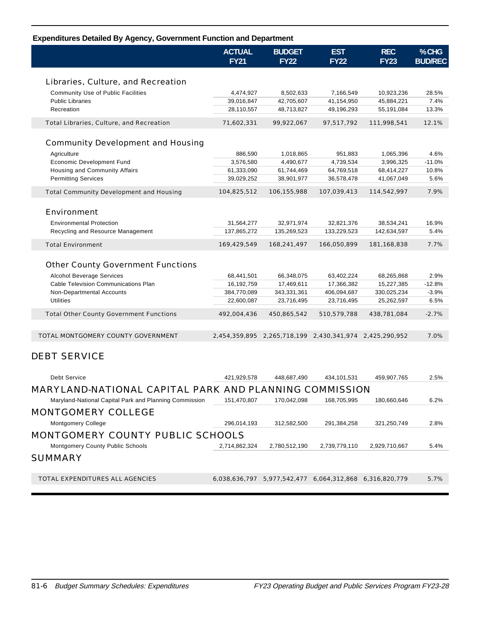|                                                                      | <b>ACTUAL</b><br><b>FY21</b> | <b>BUDGET</b><br><b>FY22</b>                            | <b>EST</b><br><b>FY22</b> | <b>REC</b><br><b>FY23</b> | %CHG<br><b>BUD/REC</b> |
|----------------------------------------------------------------------|------------------------------|---------------------------------------------------------|---------------------------|---------------------------|------------------------|
| Libraries, Culture, and Recreation                                   |                              |                                                         |                           |                           |                        |
|                                                                      |                              |                                                         |                           | 10,923,236                | 28.5%                  |
| <b>Community Use of Public Facilities</b><br><b>Public Libraries</b> | 4,474,927<br>39,016,847      | 8,502,633<br>42,705,607                                 | 7,166,549<br>41,154,950   | 45,884,221                | 7.4%                   |
| Recreation                                                           | 28,110,557                   | 48,713,827                                              | 49,196,293                | 55,191,084                | 13.3%                  |
|                                                                      |                              |                                                         |                           |                           |                        |
| Total Libraries, Culture, and Recreation                             | 71,602,331                   | 99,922,067                                              | 97,517,792                | 111,998,541               | 12.1%                  |
| Community Development and Housing                                    |                              |                                                         |                           |                           |                        |
| Agriculture                                                          | 886,590                      | 1,018,865                                               | 951,883                   | 1,065,396                 | 4.6%                   |
| <b>Economic Development Fund</b>                                     | 3,576,580                    | 4,490,677                                               | 4,739,534                 | 3,996,325                 | $-11.0%$               |
| Housing and Community Affairs                                        | 61,333,090                   | 61,744,469                                              | 64,769,518                | 68,414,227                | 10.8%                  |
| <b>Permitting Services</b>                                           | 39,029,252                   | 38,901,977                                              | 36,578,478                | 41,067,049                | 5.6%                   |
| Total Community Development and Housing                              | 104,825,512                  | 106,155,988                                             | 107,039,413               | 114,542,997               | 7.9%                   |
| Environment                                                          |                              |                                                         |                           |                           |                        |
| <b>Environmental Protection</b>                                      | 31,564,277                   | 32,971,974                                              | 32,821,376                | 38,534,241                | 16.9%                  |
| Recycling and Resource Management                                    | 137,865,272                  | 135,269,523                                             | 133,229,523               | 142,634,597               | 5.4%                   |
| <b>Total Environment</b>                                             | 169,429,549                  | 168,241,497                                             | 166,050,899               | 181, 168, 838             | 7.7%                   |
| <b>Other County Government Functions</b>                             |                              |                                                         |                           |                           |                        |
| <b>Alcohol Beverage Services</b>                                     | 68,441,501                   | 66,348,075                                              | 63,402,224                | 68,265,868                | 2.9%                   |
| Cable Television Communications Plan                                 | 16,192,759                   | 17,469,611                                              | 17,366,382                | 15,227,385                | $-12.8%$               |
| Non-Departmental Accounts                                            | 384,770,089                  | 343,331,361                                             | 406,094,687               | 330,025,234               | $-3.9%$                |
| <b>Utilities</b>                                                     | 22,600,087                   | 23,716,495                                              | 23,716,495                | 25,262,597                | 6.5%                   |
| Total Other County Government Functions                              | 492,004,436                  | 450,865,542                                             | 510,579,788               | 438,781,084               | $-2.7%$                |
|                                                                      |                              |                                                         |                           |                           |                        |
| TOTAL MONTGOMERY COUNTY GOVERNMENT                                   |                              | 2,454,359,895 2,265,718,199 2,430,341,974 2,425,290,952 |                           |                           | 7.0%                   |
| <b>DEBT SERVICE</b>                                                  |                              |                                                         |                           |                           |                        |
| <b>Debt Service</b>                                                  | 421,929,578                  | 448,687,490                                             | 434,101,531               | 459,907,765               | 2.5%                   |
| MARYLAND-NATIONAL CAPITAL PARK AND PLANNING COMMISSION               |                              |                                                         |                           |                           |                        |
| Maryland-National Capital Park and Planning Commission               | 151,470,807                  | 170,042,098                                             | 168,705,995               | 180,660,646               | 6.2%                   |
|                                                                      |                              |                                                         |                           |                           |                        |
| MONTGOMERY COLLEGE                                                   |                              |                                                         |                           |                           |                        |
| <b>Montgomery College</b>                                            | 296,014,193                  | 312,582,500                                             | 291,384,258               | 321,250,749               | 2.8%                   |
| MONTGOMERY COUNTY PUBLIC SCHOOLS                                     |                              |                                                         |                           |                           |                        |
| Montgomery County Public Schools                                     | 2,714,862,324                | 2,780,512,190                                           | 2,739,779,110             | 2,929,710,667             | 5.4%                   |
| SUMMARY                                                              |                              |                                                         |                           |                           |                        |
|                                                                      |                              |                                                         |                           |                           |                        |

TOTAL EXPENDITURES ALL AGENCIES 6,038,636,797 5,977,542,477 6,064,312,868 6,316,820,779 5.7%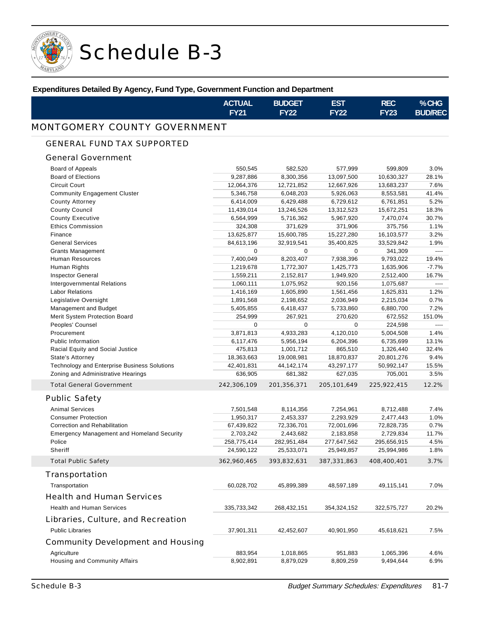

### **Expenditures Detailed By Agency, Fund Type, Government Function and Department**

|                                                     | <b>ACTUAL</b><br><b>FY21</b> | <b>BUDGET</b><br><b>FY22</b> | <b>EST</b><br><b>FY22</b> | <b>REC</b><br><b>FY23</b> | %CHG<br><b>BUD/REC</b> |
|-----------------------------------------------------|------------------------------|------------------------------|---------------------------|---------------------------|------------------------|
| MONTGOMERY COUNTY GOVERNMENT                        |                              |                              |                           |                           |                        |
| <b>GENERAL FUND TAX SUPPORTED</b>                   |                              |                              |                           |                           |                        |
| <b>General Government</b>                           |                              |                              |                           |                           |                        |
| <b>Board of Appeals</b>                             | 550,545                      | 582,520                      | 577,999                   | 599,809                   | 3.0%                   |
| <b>Board of Elections</b>                           | 9,287,886                    | 8,300,356                    | 13,097,500                | 10,630,327                | 28.1%                  |
| <b>Circuit Court</b>                                | 12,064,376                   | 12,721,852                   | 12,667,926                | 13,683,237                | 7.6%                   |
| <b>Community Engagement Cluster</b>                 | 5,346,758                    | 6,048,203                    | 5,926,063                 | 8,553,581                 | 41.4%                  |
| <b>County Attorney</b>                              | 6,414,009                    | 6,429,488                    | 6,729,612                 | 6,761,851                 | 5.2%                   |
| <b>County Council</b>                               | 11,439,014                   | 13,246,526                   | 13,312,523                | 15,672,251                | 18.3%                  |
| <b>County Executive</b>                             | 6,564,999                    | 5,716,362                    | 5,967,920                 | 7,470,074                 | 30.7%                  |
| <b>Ethics Commission</b>                            | 324,308                      | 371,629                      | 371,906                   | 375,756                   | 1.1%                   |
| Finance                                             | 13,625,877                   | 15,600,785                   | 15,227,280                | 16,103,577                | 3.2%                   |
| <b>General Services</b>                             | 84,613,196                   | 32,919,541                   | 35,400,825                | 33,529,842                | 1.9%                   |
| <b>Grants Management</b>                            | 0                            | 0                            | 0                         | 341,309                   | $---$                  |
| Human Resources                                     | 7,400,049                    | 8,203,407                    | 7,938,396                 | 9,793,022                 | 19.4%                  |
| Human Rights                                        | 1,219,678                    | 1,772,307                    | 1,425,773                 | 1,635,906                 | $-7.7%$                |
| <b>Inspector General</b>                            | 1,559,211                    | 2,152,817                    | 1,949,920                 | 2,512,400                 | 16.7%                  |
| Intergovernmental Relations                         | 1,060,111                    | 1,075,952                    | 920,156                   | 1,075,687                 |                        |
| <b>Labor Relations</b>                              | 1,416,169                    | 1,605,890                    | 1,561,456                 | 1,625,831                 | 1.2%                   |
| Legislative Oversight                               | 1,891,568                    | 2,198,652                    | 2,036,949                 | 2,215,034                 | 0.7%                   |
| Management and Budget                               | 5,405,855                    | 6,418,437                    | 5,733,860                 | 6,880,700                 | 7.2%                   |
| Merit System Protection Board                       | 254,999                      | 267,921                      | 270,620                   | 672,552                   | 151.0%                 |
| Peoples' Counsel                                    | 0                            | 0                            | 0                         | 224,598                   | ----                   |
| Procurement                                         | 3,871,813                    | 4,933,283                    | 4,120,010                 | 5,004,508                 | 1.4%                   |
| <b>Public Information</b>                           | 6,117,476                    | 5,956,194                    | 6,204,396                 | 6,735,699                 | 13.1%                  |
| Racial Equity and Social Justice                    | 475,813                      | 1,001,712                    | 865,510                   | 1,326,440                 | 32.4%                  |
| State's Attorney                                    | 18,363,663                   | 19,008,981                   | 18,870,837                | 20,801,276                | 9.4%                   |
| <b>Technology and Enterprise Business Solutions</b> | 42,401,831                   | 44, 142, 174                 | 43,297,177                | 50,992,147                | 15.5%                  |
| Zoning and Administrative Hearings                  | 636,905                      | 681,382                      | 627,035                   | 705,001                   | 3.5%                   |
| <b>Total General Government</b>                     | 242,306,109                  | 201,356,371                  | 205, 101, 649             | 225,922,415               | 12.2%                  |
| <b>Public Safety</b>                                |                              |                              |                           |                           |                        |
| <b>Animal Services</b>                              | 7,501,548                    | 8,114,356                    | 7,254,961                 | 8,712,488                 | 7.4%                   |
| <b>Consumer Protection</b>                          | 1,950,317                    | 2,453,337                    | 2,293,929                 | 2,477,443                 | 1.0%                   |
| Correction and Rehabilitation                       | 67,439,822                   | 72,336,701                   | 72,001,696                | 72,828,735                | 0.7%                   |
| <b>Emergency Management and Homeland Security</b>   | 2,703,242                    | 2,443,682                    | 2,183,858                 | 2,729,834                 | 11.7%                  |
| Police                                              | 258,775,414                  | 282,951,484                  | 277,647,562               | 295,656,915               | 4.5%                   |
| Sheriff                                             | 24,590,122                   | 25,533,071                   | 25,949,857                | 25,994,986                | 1.8%                   |
| <b>Total Public Safety</b>                          | 362,960,465                  | 393,832,631                  | 387, 331, 863             | 408,400,401               | 3.7%                   |
| Transportation                                      |                              |                              |                           |                           |                        |
| Transportation                                      | 60,028,702                   | 45,899,389                   | 48,597,189                | 49,115,141                | 7.0%                   |
| <b>Health and Human Services</b>                    |                              |                              |                           |                           |                        |
| <b>Health and Human Services</b>                    | 335,733,342                  | 268,432,151                  | 354,324,152               | 322,575,727               | 20.2%                  |
|                                                     |                              |                              |                           |                           |                        |
| Libraries, Culture, and Recreation                  |                              |                              |                           |                           |                        |
| <b>Public Libraries</b>                             | 37,901,311                   | 42,452,607                   | 40,901,950                | 45,618,621                | 7.5%                   |
| Community Development and Housing                   |                              |                              |                           |                           |                        |
| Agriculture                                         | 883,954                      | 1,018,865                    | 951,883                   | 1,065,396                 | 4.6%                   |
| Housing and Community Affairs                       | 8,902,891                    | 8,879,029                    | 8,809,259                 | 9,494,644                 | 6.9%                   |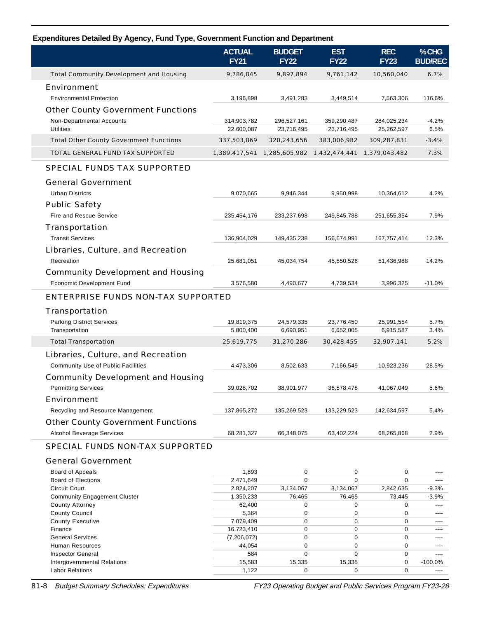|                                                       | <b>ACTUAL</b><br><b>FY21</b> | <b>BUDGET</b><br><b>FY22</b> | <b>EST</b><br><b>FY22</b>                                        | <b>REC</b><br><b>FY23</b> | %CHG<br><b>BUD/REC</b> |
|-------------------------------------------------------|------------------------------|------------------------------|------------------------------------------------------------------|---------------------------|------------------------|
| Total Community Development and Housing               | 9,786,845                    | 9,897,894                    | 9,761,142                                                        | 10,560,040                | 6.7%                   |
| Environment                                           |                              |                              |                                                                  |                           |                        |
| <b>Environmental Protection</b>                       | 3,196,898                    | 3,491,283                    | 3,449,514                                                        | 7,563,306                 | 116.6%                 |
| <b>Other County Government Functions</b>              |                              |                              |                                                                  |                           |                        |
| Non-Departmental Accounts                             | 314,903,782                  | 296,527,161                  | 359,290,487                                                      | 284,025,234               | $-4.2%$                |
| <b>Utilities</b>                                      | 22,600,087                   | 23,716,495                   | 23,716,495                                                       | 25,262,597                | 6.5%                   |
| Total Other County Government Functions               | 337,503,869                  | 320,243,656                  | 383,006,982                                                      | 309,287,831               | $-3.4%$                |
| TOTAL GENERAL FUND TAX SUPPORTED                      |                              |                              | 1,389,417,541    1,285,605,982    1,432,474,441    1,379,043,482 |                           | 7.3%                   |
| SPECIAL FUNDS TAX SUPPORTED                           |                              |                              |                                                                  |                           |                        |
| <b>General Government</b>                             |                              |                              |                                                                  |                           |                        |
| <b>Urban Districts</b>                                | 9,070,665                    | 9,946,344                    | 9,950,998                                                        | 10,364,612                | 4.2%                   |
| <b>Public Safety</b>                                  |                              |                              |                                                                  |                           |                        |
| Fire and Rescue Service                               | 235,454,176                  | 233,237,698                  | 249,845,788                                                      | 251,655,354               | 7.9%                   |
| Transportation                                        |                              |                              |                                                                  |                           |                        |
| <b>Transit Services</b>                               | 136,904,029                  | 149,435,238                  | 156,674,991                                                      | 167,757,414               | 12.3%                  |
| Libraries, Culture, and Recreation                    |                              |                              |                                                                  |                           |                        |
| Recreation                                            | 25,681,051                   | 45,034,754                   | 45,550,526                                                       | 51,436,988                | 14.2%                  |
| Community Development and Housing                     |                              |                              |                                                                  |                           |                        |
| <b>Economic Development Fund</b>                      | 3,576,580                    | 4,490,677                    | 4,739,534                                                        | 3,996,325                 | $-11.0%$               |
| ENTERPRISE FUNDS NON-TAX SUPPORTED                    |                              |                              |                                                                  |                           |                        |
| Transportation                                        |                              |                              |                                                                  |                           |                        |
| <b>Parking District Services</b>                      | 19,819,375                   | 24,579,335                   | 23,776,450                                                       | 25,991,554                | 5.7%                   |
| Transportation                                        | 5,800,400                    | 6,690,951                    | 6,652,005                                                        | 6,915,587                 | 3.4%                   |
| <b>Total Transportation</b>                           | 25,619,775                   | 31,270,286                   | 30,428,455                                                       | 32,907,141                | 5.2%                   |
| Libraries, Culture, and Recreation                    |                              |                              |                                                                  |                           |                        |
| <b>Community Use of Public Facilities</b>             | 4,473,306                    | 8,502,633                    | 7,166,549                                                        | 10,923,236                | 28.5%                  |
| Community Development and Housing                     |                              |                              |                                                                  |                           |                        |
| <b>Permitting Services</b>                            | 39,028,702                   | 38,901,977                   | 36,578,478                                                       | 41,067,049                | 5.6%                   |
| Environment                                           |                              |                              |                                                                  |                           |                        |
| Recycling and Resource Management                     | 137,865,272                  | 135,269,523                  | 133,229,523                                                      | 142,634,597               | 5.4%                   |
| <b>Other County Government Functions</b>              |                              |                              |                                                                  |                           |                        |
| <b>Alcohol Beverage Services</b>                      | 68,281,327                   | 66,348,075                   | 63,402,224                                                       | 68,265,868                | 2.9%                   |
| SPECIAL FUNDS NON-TAX SUPPORTED                       |                              |                              |                                                                  |                           |                        |
| <b>General Government</b>                             |                              |                              |                                                                  |                           |                        |
| Board of Appeals                                      | 1,893                        | 0                            | 0                                                                | 0                         |                        |
| <b>Board of Elections</b><br><b>Circuit Court</b>     | 2,471,649<br>2,824,207       | 0<br>3,134,067               | 0<br>3,134,067                                                   | 0<br>2,842,635            | ----<br>$-9.3%$        |
| <b>Community Engagement Cluster</b>                   | 1,350,233                    | 76,465                       | 76,465                                                           | 73,445                    | $-3.9%$                |
| <b>County Attorney</b>                                | 62,400                       | 0                            | 0                                                                | 0                         | ----                   |
| <b>County Council</b>                                 | 5,364                        | 0                            | 0                                                                | 0                         | ----                   |
| <b>County Executive</b><br>Finance                    | 7,079,409<br>16,723,410      | 0<br>$\mathbf 0$             | 0<br>$\mathbf 0$                                                 | 0<br>0                    |                        |
| <b>General Services</b>                               | (7,206,072)                  | 0                            | 0                                                                | 0                         | ----                   |
| Human Resources                                       | 44,054                       | 0                            | 0                                                                | 0                         | ----                   |
| <b>Inspector General</b>                              | 584                          | $\mathbf 0$                  | 0                                                                | 0                         | ----                   |
| Intergovernmental Relations<br><b>Labor Relations</b> | 15,583<br>1,122              | 15,335<br>0                  | 15,335<br>0                                                      | 0<br>0                    | $-100.0%$<br>----      |
|                                                       |                              |                              |                                                                  |                           |                        |

81-8 Budget Summary Schedules: Expenditures FY23 Operating Budget and Public Services Program FY23-28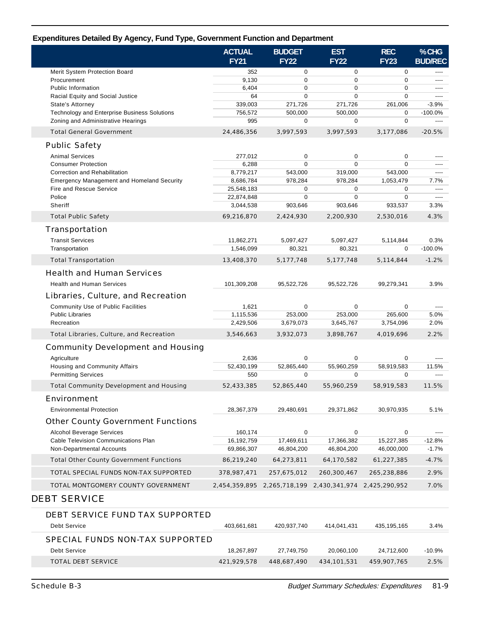|                                                                                    | <b>ACTUAL</b><br><b>FY21</b> | <b>BUDGET</b><br><b>FY22</b> | <b>EST</b><br><b>FY22</b> | <b>REC</b><br><b>FY23</b> | %CHG<br><b>BUD/REC</b> |
|------------------------------------------------------------------------------------|------------------------------|------------------------------|---------------------------|---------------------------|------------------------|
| Merit System Protection Board                                                      | 352                          | 0                            | 0                         | 0                         |                        |
| Procurement                                                                        | 9,130                        | $\mathbf 0$                  | $\mathbf 0$               | $\mathbf 0$               | ----                   |
| <b>Public Information</b>                                                          | 6,404                        | 0                            | $\mathbf 0$               | 0                         | $---$                  |
| Racial Equity and Social Justice                                                   | 64                           | 0                            | $\mathbf 0$               | 0                         | $---$                  |
| State's Attorney                                                                   | 339,003                      | 271,726                      | 271,726                   | 261,006                   | $-3.9%$                |
| Technology and Enterprise Business Solutions<br>Zoning and Administrative Hearings | 756,572<br>995               | 500,000<br>0                 | 500,000<br>0              | 0<br>0                    | $-100.0%$              |
| <b>Total General Government</b>                                                    | 24,486,356                   | 3,997,593                    | 3,997,593                 | 3,177,086                 | $-20.5%$               |
| <b>Public Safety</b>                                                               |                              |                              |                           |                           |                        |
| <b>Animal Services</b>                                                             | 277,012                      | 0                            | 0                         | 0                         |                        |
| <b>Consumer Protection</b>                                                         | 6,288                        | $\mathbf 0$                  | $\Omega$                  | 0                         | ----                   |
| Correction and Rehabilitation                                                      | 8,779,217                    | 543,000                      | 319,000                   | 543,000                   | $---$                  |
| <b>Emergency Management and Homeland Security</b>                                  | 8,686,784                    | 978,284                      | 978,284                   | 1,053,479                 | 7.7%                   |
| <b>Fire and Rescue Service</b>                                                     | 25,548,183                   | 0                            | 0                         | 0                         | $---$                  |
| Police                                                                             | 22,874,848                   | $\mathbf 0$                  | $\mathbf 0$               | $\mathbf 0$               | ----                   |
| Sheriff                                                                            | 3,044,538                    | 903,646                      | 903,646                   | 933,537                   | 3.3%                   |
| <b>Total Public Safety</b>                                                         | 69,216,870                   | 2,424,930                    | 2,200,930                 | 2,530,016                 | 4.3%                   |
| Transportation                                                                     |                              |                              |                           |                           |                        |
| <b>Transit Services</b>                                                            | 11,862,271                   | 5,097,427                    | 5,097,427                 | 5,114,844                 | 0.3%                   |
| Transportation                                                                     | 1,546,099                    | 80,321                       | 80,321                    | 0                         | $-100.0%$              |
| <b>Total Transportation</b>                                                        | 13,408,370                   | 5,177,748                    | 5,177,748                 | 5,114,844                 | $-1.2%$                |
| <b>Health and Human Services</b>                                                   |                              |                              |                           |                           |                        |
| <b>Health and Human Services</b>                                                   | 101,309,208                  | 95,522,726                   | 95,522,726                | 99,279,341                | 3.9%                   |
| Libraries, Culture, and Recreation                                                 |                              |                              |                           |                           |                        |
| <b>Community Use of Public Facilities</b>                                          | 1,621                        | 0                            | 0                         | 0                         |                        |
| <b>Public Libraries</b>                                                            | 1,115,536                    | 253,000                      | 253,000                   | 265,600                   | 5.0%                   |
| Recreation                                                                         | 2,429,506                    | 3,679,073                    | 3,645,767                 | 3,754,096                 | 2.0%                   |
| Total Libraries, Culture, and Recreation                                           | 3,546,663                    | 3,932,073                    | 3,898,767                 | 4,019,696                 | 2.2%                   |
| Community Development and Housing                                                  |                              |                              |                           |                           |                        |
| Agriculture                                                                        | 2,636                        | 0                            | 0                         | 0                         |                        |
| Housing and Community Affairs                                                      | 52,430,199                   | 52,865,440                   | 55,960,259                | 58,919,583                | 11.5%                  |
| <b>Permitting Services</b>                                                         | 550                          | 0                            | $\mathbf 0$               | $\Omega$                  | ----                   |
| Total Community Development and Housing                                            | 52,433,385                   | 52,865,440                   | 55,960,259                | 58,919,583                | 11.5%                  |
| Environment                                                                        |                              |                              |                           |                           |                        |
| <b>Environmental Protection</b>                                                    | 28,367,379                   | 29,480,691                   | 29,371,862                | 30,970,935                | 5.1%                   |
| <b>Other County Government Functions</b>                                           |                              |                              |                           |                           |                        |
| <b>Alcohol Beverage Services</b>                                                   | 160,174                      | 0                            | 0                         | 0                         |                        |
| Cable Television Communications Plan<br>Non-Departmental Accounts                  | 16,192,759<br>69,866,307     | 17,469,611<br>46,804,200     | 17,366,382<br>46,804,200  | 15,227,385<br>46,000,000  | -12.8%<br>$-1.7%$      |
| Total Other County Government Functions                                            | 86,219,240                   | 64,273,811                   | 64,170,582                | 61,227,385                | $-4.7%$                |
| TOTAL SPECIAL FUNDS NON-TAX SUPPORTED                                              | 378,987,471                  | 257,675,012                  | 260,300,467               | 265,238,886               | 2.9%                   |
| TOTAL MONTGOMERY COUNTY GOVERNMENT                                                 | 2,454,359,895                | 2,265,718,199                | 2,430,341,974             | 2,425,290,952             | 7.0%                   |
| <b>DEBT SERVICE</b>                                                                |                              |                              |                           |                           |                        |

| DEBT SERVICE FUND TAX SUPPORTED |             |             |             |             |          |
|---------------------------------|-------------|-------------|-------------|-------------|----------|
| Debt Service                    | 403.661.681 | 420.937.740 | 414.041.431 | 435,195,165 | 3.4%     |
| SPECIAL FUNDS NON-TAX SUPPORTED |             |             |             |             |          |
| Debt Service                    | 18.267.897  | 27.749.750  | 20.060.100  | 24.712.600  | $-10.9%$ |
| TOTAL DEBT SERVICE              | 421.929.578 | 448.687.490 | 434,101,531 | 459.907.765 | 2.5%     |

 $\overline{\phantom{0}}$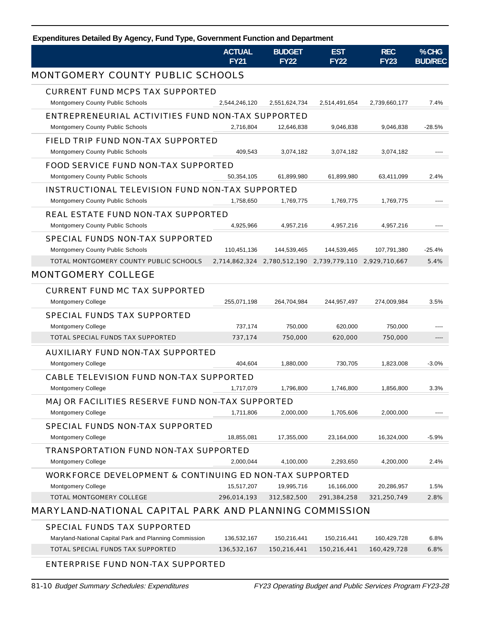|                                                                                                                      | <b>ACTUAL</b><br><b>FY21</b> | <b>BUDGET</b><br><b>FY22</b> | <b>EST</b><br><b>FY22</b>                                              | <b>REC</b><br><b>FY23</b> | %CHG<br><b>BUD/REC</b> |
|----------------------------------------------------------------------------------------------------------------------|------------------------------|------------------------------|------------------------------------------------------------------------|---------------------------|------------------------|
| MONTGOMERY COUNTY PUBLIC SCHOOLS                                                                                     |                              |                              |                                                                        |                           |                        |
| <b>CURRENT FUND MCPS TAX SUPPORTED</b><br><b>Montgomery County Public Schools</b>                                    | 2,544,246,120                | 2,551,624,734                | 2,514,491,654                                                          | 2,739,660,177             | 7.4%                   |
| ENTREPRENEURIAL ACTIVITIES FUND NON-TAX SUPPORTED<br><b>Montgomery County Public Schools</b>                         | 2,716,804                    | 12,646,838                   | 9,046,838                                                              | 9.046.838                 | $-28.5%$               |
| FIELD TRIP FUND NON-TAX SUPPORTED<br><b>Montgomery County Public Schools</b>                                         | 409,543                      | 3,074,182                    | 3,074,182                                                              | 3,074,182                 |                        |
| FOOD SERVICE FUND NON-TAX SUPPORTED<br>Montgomery County Public Schools                                              | 50,354,105                   | 61,899,980                   | 61,899,980                                                             | 63,411,099                | 2.4%                   |
| INSTRUCTIONAL TELEVISION FUND NON-TAX SUPPORTED<br><b>Montgomery County Public Schools</b>                           | 1,758,650                    | 1,769,775                    | 1,769,775                                                              | 1,769,775                 |                        |
| REAL ESTATE FUND NON-TAX SUPPORTED<br><b>Montgomery County Public Schools</b>                                        | 4.925.966                    | 4,957,216                    | 4,957,216                                                              | 4,957,216                 | $---$                  |
| SPECIAL FUNDS NON-TAX SUPPORTED<br><b>Montgomery County Public Schools</b><br>TOTAL MONTGOMERY COUNTY PUBLIC SCHOOLS | 110,451,136                  | 144,539,465                  | 144,539,465<br>2,714,862,324 2,780,512,190 2,739,779,110 2,929,710,667 | 107,791,380               | $-25.4%$<br>5.4%       |
| <b>MONTGOMERY COLLEGE</b>                                                                                            |                              |                              |                                                                        |                           |                        |
| <b>CURRENT FUND MC TAX SUPPORTED</b><br><b>Montgomery College</b>                                                    | 255,071,198                  | 264,704,984                  | 244,957,497                                                            | 274,009,984               | 3.5%                   |
| SPECIAL FUNDS TAX SUPPORTED<br>Montgomery College                                                                    | 737,174                      | 750,000                      | 620,000                                                                | 750,000                   |                        |
| TOTAL SPECIAL FUNDS TAX SUPPORTED                                                                                    | 737,174                      | 750,000                      | 620,000                                                                | 750,000                   | $---$                  |
| AUXILIARY FUND NON-TAX SUPPORTED<br><b>Montgomery College</b>                                                        | 404.604                      | 1,880,000                    | 730,705                                                                | 1,823,008                 | -3.0%                  |
| CABLE TELEVISION FUND NON-TAX SUPPORTED<br><b>Montgomery College</b>                                                 | 1,717,079                    | 1,796,800                    | 1,746,800                                                              | 1,856,800                 | 3.3%                   |
| MAJOR FACILITIES RESERVE FUND NON-TAX SUPPORTED<br>Montgomery College                                                | 1,711,806                    | 2,000,000                    | 1,705,606                                                              | 2,000,000                 | $- - - -$              |
| SPECIAL FUNDS NON-TAX SUPPORTED<br>Montgomery College                                                                | 18,855,081                   | 17,355,000                   | 23,164,000                                                             | 16,324,000                | $-5.9%$                |
| TRANSPORTATION FUND NON-TAX SUPPORTED<br><b>Montgomery College</b>                                                   | 2,000,044                    | 4,100,000                    | 2,293,650                                                              | 4,200,000                 | 2.4%                   |
| WORKFORCE DEVELOPMENT & CONTINUING ED NON-TAX SUPPORTED<br><b>Montgomery College</b>                                 | 15,517,207                   | 19,995,716                   | 16,166,000                                                             | 20,286,957                | 1.5%                   |
| TOTAL MONTGOMERY COLLEGE                                                                                             | 296,014,193                  | 312,582,500                  | 291,384,258                                                            | 321,250,749               | 2.8%                   |
| MARYLAND-NATIONAL CAPITAL PARK AND PLANNING COMMISSION                                                               |                              |                              |                                                                        |                           |                        |
| SPECIAL FUNDS TAX SUPPORTED                                                                                          |                              |                              |                                                                        |                           |                        |

| Maryland-National Capital Park and Planning Commission<br>160.429.728<br>136.532.167<br>150.216.441<br>150.216.441<br>6.8%<br>TOTAL SPECIAL FUNDS TAX SUPPORTED<br>160.429.728<br>6.8%<br>136.532.167<br>150,216,441<br>150.216.441 |  |  |  |
|-------------------------------------------------------------------------------------------------------------------------------------------------------------------------------------------------------------------------------------|--|--|--|
|                                                                                                                                                                                                                                     |  |  |  |
|                                                                                                                                                                                                                                     |  |  |  |

ENTERPRISE FUND NON-TAX SUPPORTED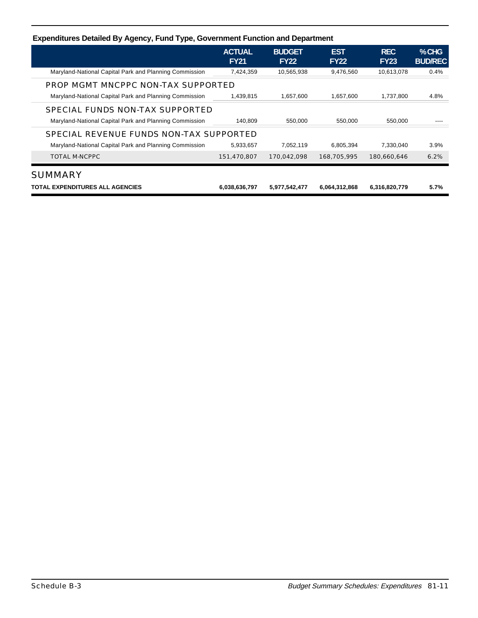|                                                        | <b>ACTUAL</b><br><b>FY21</b> | <b>BUDGET</b><br><b>FY22</b> | <b>EST</b><br><b>FY22</b> | <b>REC</b><br><b>FY23</b> | %CHG<br><b>BUD/REC</b> |
|--------------------------------------------------------|------------------------------|------------------------------|---------------------------|---------------------------|------------------------|
| Maryland-National Capital Park and Planning Commission | 7,424,359                    | 10,565,938                   | 9,476,560                 | 10,613,078                | $0.4\%$                |
| PROP MGMT MNCPPC NON-TAX SUPPORTED                     |                              |                              |                           |                           |                        |
| Maryland-National Capital Park and Planning Commission | 1,439,815                    | 1,657,600                    | 1,657,600                 | 1,737,800                 | 4.8%                   |
| SPECIAL FUNDS NON-TAX SUPPORTED                        |                              |                              |                           |                           |                        |
| Maryland-National Capital Park and Planning Commission | 140,809                      | 550,000                      | 550,000                   | 550,000                   |                        |
| SPECIAL REVENUE FUNDS NON-TAX SUPPORTED                |                              |                              |                           |                           |                        |
| Maryland-National Capital Park and Planning Commission | 5,933,657                    | 7,052,119                    | 6,805,394                 | 7.330.040                 | 3.9%                   |
| <b>TOTAL M-NCPPC</b>                                   | 151.470.807                  | 170.042.098                  | 168,705,995               | 180.660.646               | 6.2%                   |
| SUMMARY                                                |                              |                              |                           |                           |                        |
| <b>TOTAL EXPENDITURES ALL AGENCIES</b>                 | 6.038.636.797                | 5,977,542,477                | 6,064,312,868             | 6,316,820,779             | 5.7%                   |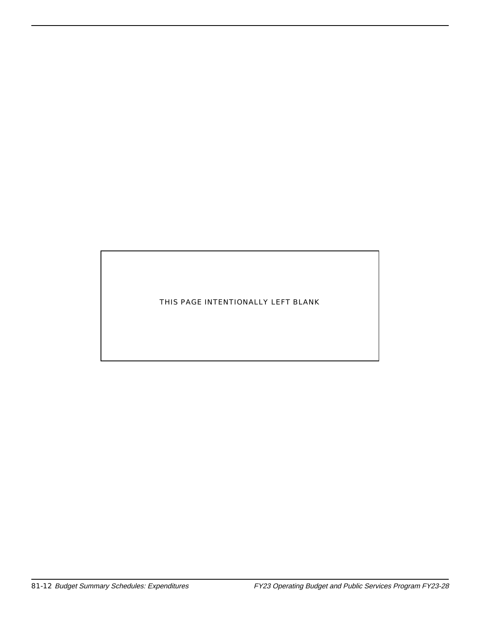THIS PAGE INTENTIONALLY LEFT BLANK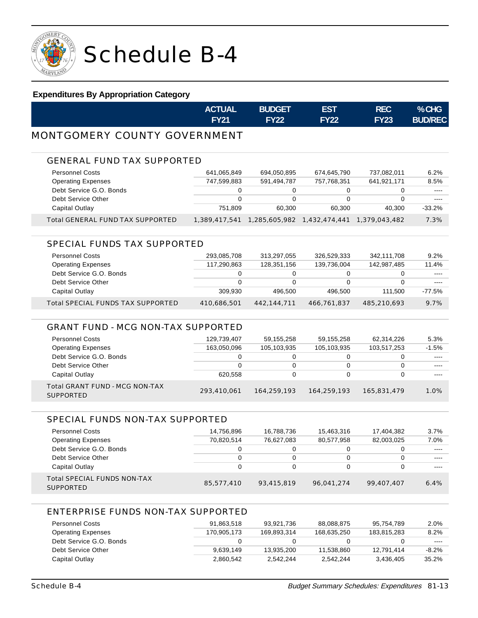

## **Expenditures By Appropriation Category**

|                                         | <b>ACTUAL</b><br><b>FY21</b> | <b>BUDGET</b><br><b>FY22</b> | <b>EST</b><br><b>FY22</b> | <b>REC</b><br><b>FY23</b> | %CHG<br><b>BUD/REC</b> |
|-----------------------------------------|------------------------------|------------------------------|---------------------------|---------------------------|------------------------|
| MONTGOMERY COUNTY GOVERNMENT            |                              |                              |                           |                           |                        |
| <b>GENERAL FUND TAX SUPPORTED</b>       |                              |                              |                           |                           |                        |
| <b>Personnel Costs</b>                  | 641,065,849                  | 694,050,895                  | 674,645,790               | 737,082,011               | 6.2%                   |
| <b>Operating Expenses</b>               | 747,599,883                  | 591,494,787                  | 757,768,351               | 641,921,171               | 8.5%                   |
| Debt Service G.O. Bonds                 | 0                            | 0                            | 0                         | 0                         |                        |
| Debt Service Other                      | $\Omega$                     | $\Omega$                     | $\Omega$                  | $\Omega$                  |                        |
| Capital Outlay                          | 751,809                      | 60,300                       | 60,300                    | 40,300                    | $-33.2%$               |
| <b>Total GENERAL FUND TAX SUPPORTED</b> | 1,389,417,541                | 1,285,605,982                | 1,432,474,441             | 1,379,043,482             | 7.3%                   |
| SPECIAL FUNDS TAX SUPPORTED             |                              |                              |                           |                           |                        |
| <b>Personnel Costs</b>                  | 293,085,708                  | 313,297,055                  | 326,529,333               | 342,111,708               | 9.2%                   |
| <b>Operating Expenses</b>               | 117,290,863                  | 128,351,156                  | 139,736,004               | 142,987,485               | 11.4%                  |
| Debt Service G.O. Bonds                 | 0                            | 0                            | 0                         | 0                         |                        |
| Debt Service Other                      | 0                            | 0                            | 0                         | $\Omega$                  |                        |

#### GRANT FUND - MCG NON-TAX SUPPORTED

| <b>Personnel Costs</b><br><b>Operating Expenses</b> | 129,739,407<br>163,050,096 | 59,155,258<br>105,103,935 | 59,155,258<br>105,103,935 | 62.314.226<br>103,517,253 | 5.3%<br>$-1.5%$ |
|-----------------------------------------------------|----------------------------|---------------------------|---------------------------|---------------------------|-----------------|
| Debt Service G.O. Bonds                             |                            |                           |                           | 0                         | $\cdots$        |
| Debt Service Other                                  | 0                          | 0                         | 0                         | 0                         | $\cdots$        |
| Capital Outlay                                      | 620.558                    | 0                         | 0                         | 0                         | $\frac{1}{2}$   |
| Total GRANT FUND - MCG NON-TAX<br><b>SUPPORTED</b>  | 293,410,061                | 164,259,193               | 164.259.193               | 165.831.479               | 1.0%            |

Capital Outlay **309,930** 496,500 496,500 496,500 111,500 -77.5% Total SPECIAL FUNDS TAX SUPPORTED 410,686,501 442,144,711 466,761,837 485,210,693 9.7%

#### SPECIAL FUNDS NON-TAX SUPPORTED

| <b>Personnel Costs</b>                                 | 14.756.896 | 16,788,736 | 15.463.316 | 17.404.382 | 3.7%          |
|--------------------------------------------------------|------------|------------|------------|------------|---------------|
| <b>Operating Expenses</b>                              | 70.820.514 | 76.627.083 | 80.577.958 | 82.003.025 | 7.0%          |
| Debt Service G.O. Bonds                                |            |            |            |            | $\frac{1}{2}$ |
| Debt Service Other                                     |            |            | 0          | 0          | $\cdots$      |
| Capital Outlay                                         |            |            | 0          | 0          | $\cdots$      |
| <b>Total SPECIAL FUNDS NON-TAX</b><br><b>SUPPORTED</b> | 85,577,410 | 93.415.819 | 96.041.274 | 99.407.407 | 6.4%          |

#### ENTERPRISE FUNDS NON-TAX SUPPORTED

| <b>Personnel Costs</b>    | 91.863.518  | 93.921.736  | 88.088.875  | 95.754.789  | 2.0%     |
|---------------------------|-------------|-------------|-------------|-------------|----------|
| <b>Operating Expenses</b> | 170.905.173 | 169.893.314 | 168.635.250 | 183.815.283 | 8.2%     |
| Debt Service G.O. Bonds   |             |             |             |             | $\cdots$ |
| Debt Service Other        | 9.639.149   | 13.935.200  | 11.538.860  | 12.791.414  | $-8.2\%$ |
| Capital Outlay            | 2.860.542   | 2.542.244   | 2.542.244   | 3.436.405   | 35.2%    |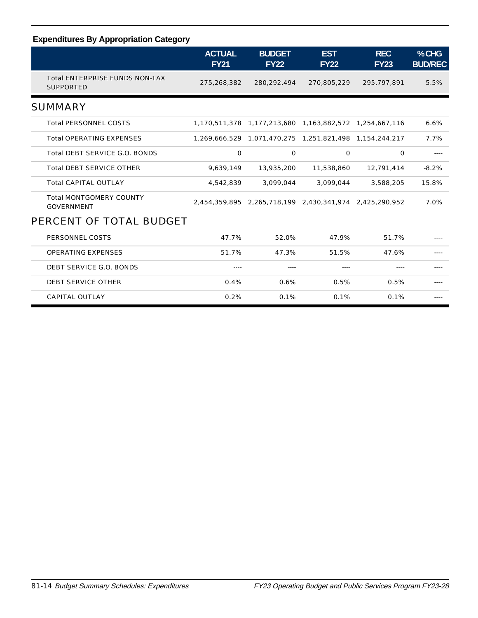## **Expenditures By Appropriation Category**

| $\sim$ nananoo $\mathbf{v}_j$ , appropriation catogory    |                              |                                                         |                           |                           |                        |
|-----------------------------------------------------------|------------------------------|---------------------------------------------------------|---------------------------|---------------------------|------------------------|
|                                                           | <b>ACTUAL</b><br><b>FY21</b> | <b>BUDGET</b><br><b>FY22</b>                            | <b>EST</b><br><b>FY22</b> | <b>REC</b><br><b>FY23</b> | %CHG<br><b>BUD/REC</b> |
| <b>Total ENTERPRISE FUNDS NON-TAX</b><br><b>SUPPORTED</b> | 275,268,382                  | 280,292,494                                             | 270,805,229               | 295,797,891               | 5.5%                   |
| <b>SUMMARY</b>                                            |                              |                                                         |                           |                           |                        |
| <b>Total PERSONNEL COSTS</b>                              |                              | 1,170,511,378 1,177,213,680 1,163,882,572 1,254,667,116 |                           |                           | 6.6%                   |
| <b>Total OPERATING EXPENSES</b>                           |                              | 1,269,666,529 1,071,470,275 1,251,821,498 1,154,244,217 |                           |                           | 7.7%                   |
| Total DEBT SERVICE G.O. BONDS                             | O                            | $\mathbf{O}$                                            | $\circ$                   | 0                         | $- - - -$              |
| <b>Total DEBT SERVICE OTHER</b>                           | 9,639,149                    | 13,935,200                                              | 11,538,860                | 12,791,414                | $-8.2%$                |
| <b>Total CAPITAL OUTLAY</b>                               | 4,542,839                    | 3.099.044                                               | 3.099.044                 | 3,588,205                 | 15.8%                  |
| <b>Total MONTGOMERY COUNTY</b><br><b>GOVERNMENT</b>       |                              | 2,454,359,895 2,265,718,199 2,430,341,974 2,425,290,952 |                           |                           | 7.0%                   |
| PERCENT OF TOTAL BUDGET                                   |                              |                                                         |                           |                           |                        |
| PERSONNEL COSTS                                           | 47.7%                        | 52.0%                                                   | 47.9%                     | 51.7%                     |                        |
| <b>OPERATING EXPENSES</b>                                 | 51.7%                        | 47.3%                                                   | 51.5%                     | 47.6%                     | $---$                  |
| DEBT SERVICE G.O. BONDS                                   | $\frac{1}{2}$                | $\frac{1}{2}$                                           | ----                      | $- - - -$                 |                        |
| DEBT SERVICE OTHER                                        | 0.4%                         | 0.6%                                                    | 0.5%                      | 0.5%                      |                        |
| CAPITAL OUTLAY                                            | 0.2%                         | 0.1%                                                    | 0.1%                      | 0.1%                      |                        |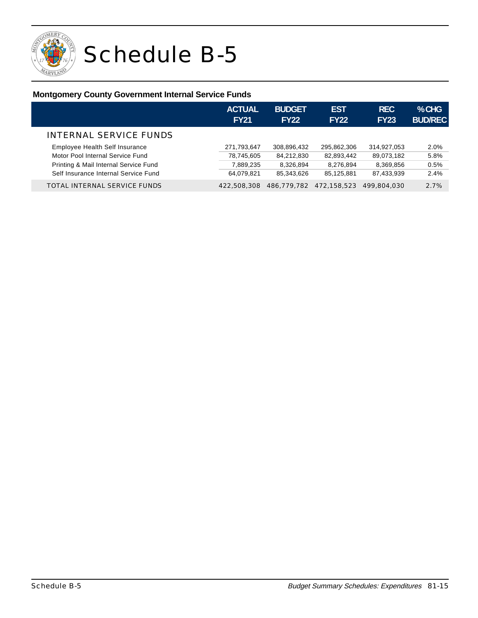

### **Montgomery County Government Internal Service Funds**

|                                       | <b>ACTUAL</b><br><b>FY21</b> | <b>BUDGET</b><br><b>FY22</b> | <b>EST</b><br><b>FY22</b> | <b>REC</b><br><b>FY23</b> | %CHG<br><b>BUD/REC</b> |
|---------------------------------------|------------------------------|------------------------------|---------------------------|---------------------------|------------------------|
| INTERNAL SERVICE FUNDS                |                              |                              |                           |                           |                        |
| <b>Employee Health Self Insurance</b> | 271,793,647                  | 308,896,432                  | 295,862,306               | 314.927.053               | 2.0%                   |
| Motor Pool Internal Service Fund      | 78,745,605                   | 84,212,830                   | 82,893,442                | 89,073,182                | 5.8%                   |
| Printing & Mail Internal Service Fund | 7,889,235                    | 8.326.894                    | 8.276.894                 | 8.369.856                 | 0.5%                   |
| Self Insurance Internal Service Fund  | 64.079.821                   | 85,343,626                   | 85.125.881                | 87,433,939                | 2.4%                   |
| TOTAL INTERNAL SERVICE FUNDS          | 422,508,308                  | 486,779,782                  | 472.158.523               | 499.804.030               | 2.7%                   |